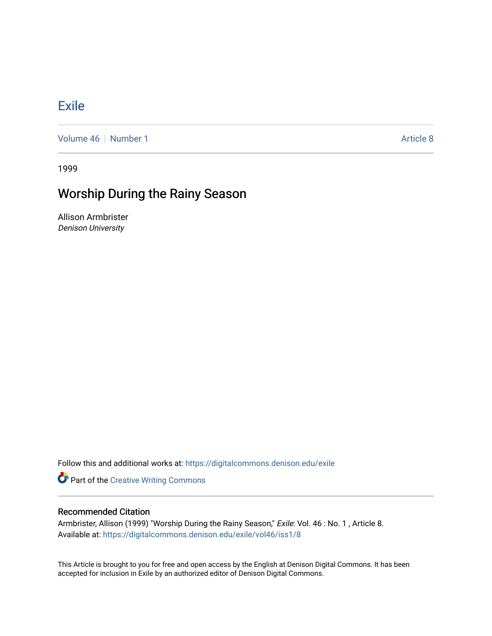## [Exile](https://digitalcommons.denison.edu/exile)

[Volume 46](https://digitalcommons.denison.edu/exile/vol46) [Number 1](https://digitalcommons.denison.edu/exile/vol46/iss1) Article 8

1999

## Worship During the Rainy Season

Allison Armbrister Denison University

Follow this and additional works at: [https://digitalcommons.denison.edu/exile](https://digitalcommons.denison.edu/exile?utm_source=digitalcommons.denison.edu%2Fexile%2Fvol46%2Fiss1%2F8&utm_medium=PDF&utm_campaign=PDFCoverPages) 

**Part of the Creative Writing Commons** 

## Recommended Citation

Armbrister, Allison (1999) "Worship During the Rainy Season," Exile: Vol. 46 : No. 1 , Article 8. Available at: [https://digitalcommons.denison.edu/exile/vol46/iss1/8](https://digitalcommons.denison.edu/exile/vol46/iss1/8?utm_source=digitalcommons.denison.edu%2Fexile%2Fvol46%2Fiss1%2F8&utm_medium=PDF&utm_campaign=PDFCoverPages) 

This Article is brought to you for free and open access by the English at Denison Digital Commons. It has been accepted for inclusion in Exile by an authorized editor of Denison Digital Commons.